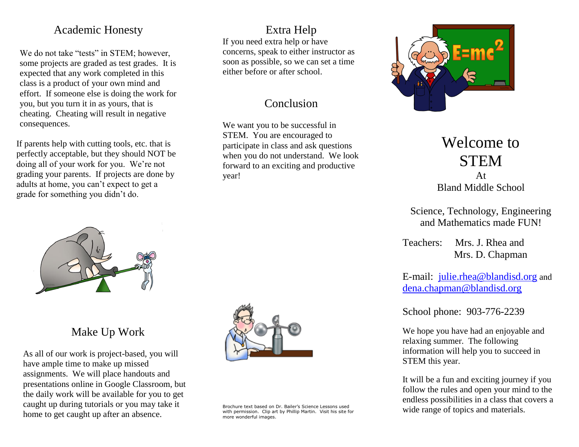#### Academic Honesty

We do not take "tests" in STEM; however, some projects are graded as test grades. It is expected that any work completed in this class is a product of your own mind and effort. If someone else is doing the work for you, but you turn it in as yours, that is cheating. Cheating will result in negative consequences.

If parents help with cutting tools, etc. that is perfectly acceptable, but they should NOT be doing all of your work for you. We're not grading your parents. If projects are done by adults at home, you can't expect to get a grade for something you didn't do.



#### Make Up Work

As all of our work is project-based, you will have ample time to make up missed assignments. We will place handouts and presentations online in Google Classroom, but the daily work will be available for you to get caught up during tutorials or you may take it home to get caught up after an absence.



Brochure text based on Dr. Bailer's Science Lessons used with permission. Clip art by Phillip Martin. Visit his site for more wonderful images.

Extra Help

concerns, speak to either instructor as soon as possible, so we can set a time

Conclusion

We want you to be successful in STEM. You are encouraged to participate in class and ask questions when you do not understand. We look forward to an exciting and productive

year!

If you need extra help or have

either before or after school.



# Welcome to **STEM**

At Bland Middle School

Science, Technology, Engineering and Mathematics made FUN!

Teachers: Mrs. J. Rhea and Mrs. D. Chapman

E-mail: [julie.rhea@blandisd.org](mailto:jbailer@houstonisd.org) and [dena.chapman@blandisd.org](mailto:dena.chapman@blandisd.org)

School phone: 903-776-2239

We hope you have had an enjoyable and relaxing summer. The following information will help you to succeed in STEM this year.

It will be a fun and exciting journey if you follow the rules and open your mind to the endless possibilities in a class that covers a wide range of topics and materials.